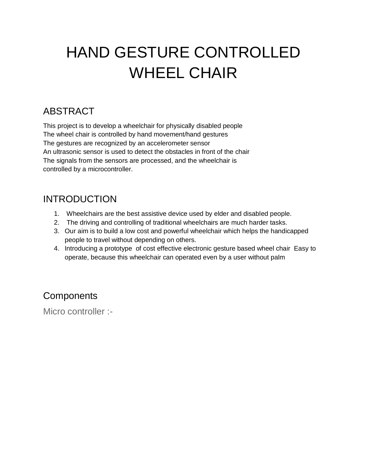# HAND GESTURE CONTROLLED WHEEL CHAIR

## ABSTRACT

This project is to develop a wheelchair for physically disabled people The wheel chair is controlled by hand movement/hand gestures The gestures are recognized by an accelerometer sensor An ultrasonic sensor is used to detect the obstacles in front of the chair The signals from the sensors are processed, and the wheelchair is controlled by a microcontroller.

#### INTRODUCTION

- 1. Wheelchairs are the best assistive device used by elder and disabled people.
- 2. The driving and controlling of traditional wheelchairs are much harder tasks.
- 3. Our aim is to build a low cost and powerful wheelchair which helps the handicapped people to travel without depending on others.
- 4. Introducing a prototype of cost effective electronic gesture based wheel chair Easy to operate, because this wheelchair can operated even by a user without palm

## **Components**

Micro controller :-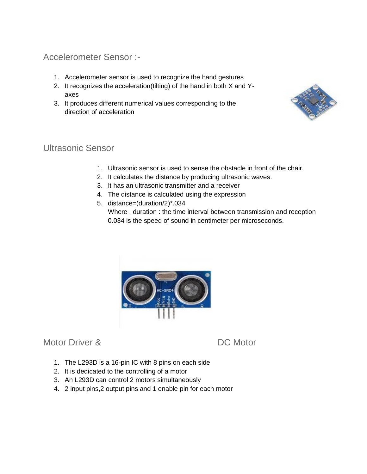#### Accelerometer Sensor :-

- 1. Accelerometer sensor is used to recognize the hand gestures
- 2. It recognizes the acceleration(tilting) of the hand in both X and Yaxes
- 3. It produces different numerical values corresponding to the direction of acceleration



#### Ultrasonic Sensor

- 1. Ultrasonic sensor is used to sense the obstacle in front of the chair.
- 2. It calculates the distance by producing ultrasonic waves.
- 3. It has an ultrasonic transmitter and a receiver
- 4. The distance is calculated using the expression
- 5. distance=(duration/2)\*.034 Where , duration : the time interval between transmission and reception 0.034 is the speed of sound in centimeter per microseconds.



Motor Driver & DC Motor

- 1. The L293D is a 16-pin IC with 8 pins on each side
- 2. It is dedicated to the controlling of a motor
- 3. An L293D can control 2 motors simultaneously
- 4. 2 input pins,2 output pins and 1 enable pin for each motor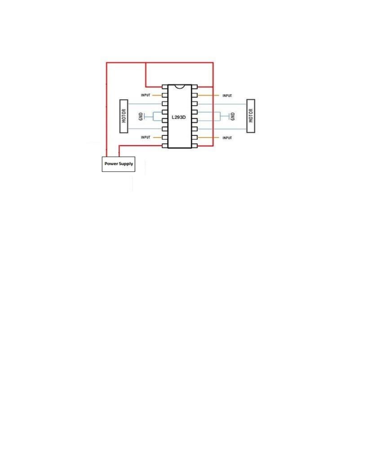